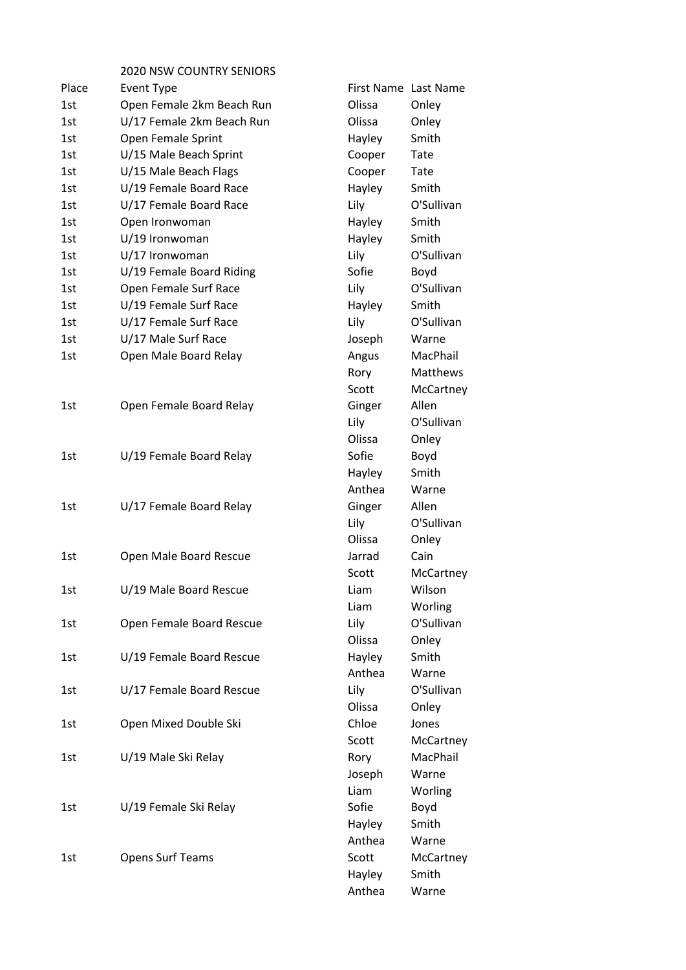2020 NSW COUNTRY SENIORS

| Place | <b>Event Type</b>         |        | First Name Last Name |
|-------|---------------------------|--------|----------------------|
| 1st   | Open Female 2km Beach Run | Olissa | Onley                |
| 1st   | U/17 Female 2km Beach Run | Olissa | Onley                |
| 1st   | Open Female Sprint        | Hayley | Smith                |
| 1st   | U/15 Male Beach Sprint    | Cooper | Tate                 |
| 1st   | U/15 Male Beach Flags     | Cooper | Tate                 |
| 1st   | U/19 Female Board Race    | Hayley | Smith                |
| 1st   | U/17 Female Board Race    | Lily   | O'Sullivan           |
| 1st   | Open Ironwoman            | Hayley | Smith                |
| 1st   | U/19 Ironwoman            | Hayley | Smith                |
| 1st   | U/17 Ironwoman            | Lily   | O'Sullivan           |
| 1st   | U/19 Female Board Riding  | Sofie  | Boyd                 |
| 1st   | Open Female Surf Race     | Lily   | O'Sullivan           |
| 1st   | U/19 Female Surf Race     | Hayley | Smith                |
| 1st   | U/17 Female Surf Race     | Lily   | O'Sullivan           |
| 1st   | U/17 Male Surf Race       | Joseph | Warne                |
| 1st   | Open Male Board Relay     | Angus  | MacPhail             |
|       |                           | Rory   | Matthews             |
|       |                           | Scott  | McCartney            |
| 1st   | Open Female Board Relay   | Ginger | Allen                |
|       |                           | Lily   | O'Sullivan           |
|       |                           | Olissa | Onley                |
| 1st   | U/19 Female Board Relay   | Sofie  | Boyd                 |
|       |                           | Hayley | Smith                |
|       |                           | Anthea | Warne                |
| 1st   | U/17 Female Board Relay   | Ginger | Allen                |
|       |                           | Lily   | O'Sullivan           |
|       |                           | Olissa | Onley                |
| 1st   | Open Male Board Rescue    | Jarrad | Cain                 |
|       |                           | Scott  | McCartney            |
| 1st   | U/19 Male Board Rescue    | Liam   | Wilson               |
|       |                           | Liam   | Worling              |
| 1st   | Open Female Board Rescue  | Lily   | O'Sullivan           |
|       |                           | Olissa | Onley                |
| 1st   | U/19 Female Board Rescue  | Hayley | Smith                |
|       |                           | Anthea | Warne                |
| 1st   | U/17 Female Board Rescue  | Lily   | O'Sullivan           |
|       |                           | Olissa | Onley                |
| 1st   | Open Mixed Double Ski     | Chloe  | Jones                |
|       |                           | Scott  | McCartney            |
| 1st   | U/19 Male Ski Relay       | Rory   | MacPhail             |
|       |                           | Joseph | Warne                |
|       |                           | Liam   | Worling              |
| 1st   | U/19 Female Ski Relay     | Sofie  | Boyd                 |
|       |                           | Hayley | Smith                |
|       |                           | Anthea | Warne                |
| 1st   | <b>Opens Surf Teams</b>   | Scott  | McCartney            |
|       |                           | Hayley | Smith                |
|       |                           | Anthea | Warne                |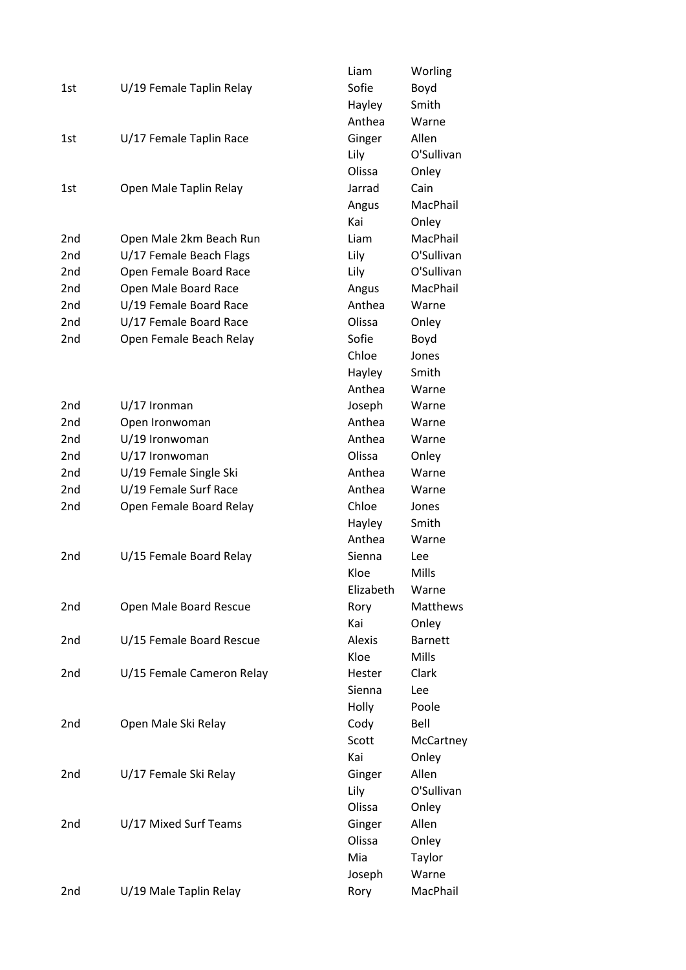|                 |                           | Liam          | Worling        |
|-----------------|---------------------------|---------------|----------------|
| 1st             | U/19 Female Taplin Relay  | Sofie         | Boyd           |
|                 |                           | Hayley        | Smith          |
|                 |                           | Anthea        | Warne          |
| 1st             | U/17 Female Taplin Race   | Ginger        | Allen          |
|                 |                           | Lily          | O'Sullivan     |
|                 |                           | Olissa        | Onley          |
| 1st             | Open Male Taplin Relay    | Jarrad        | Cain           |
|                 |                           | Angus         | MacPhail       |
|                 |                           | Kai           | Onley          |
| 2nd             | Open Male 2km Beach Run   | Liam          | MacPhail       |
| 2nd             | U/17 Female Beach Flags   | Lily          | O'Sullivan     |
| 2 <sub>nd</sub> | Open Female Board Race    | Lily          | O'Sullivan     |
| 2 <sub>nd</sub> | Open Male Board Race      | Angus         | MacPhail       |
| 2 <sub>nd</sub> | U/19 Female Board Race    | Anthea        | Warne          |
| 2 <sub>nd</sub> | U/17 Female Board Race    | Olissa        | Onley          |
| 2 <sub>nd</sub> | Open Female Beach Relay   | Sofie         | Boyd           |
|                 |                           | Chloe         | Jones          |
|                 |                           | Hayley        | Smith          |
|                 |                           | Anthea        | Warne          |
| 2 <sub>nd</sub> | $U/17$ Ironman            | Joseph        | Warne          |
| 2 <sub>nd</sub> | Open Ironwoman            | Anthea        | Warne          |
| 2 <sub>nd</sub> | U/19 Ironwoman            | Anthea        | Warne          |
| 2 <sub>nd</sub> | U/17 Ironwoman            | Olissa        | Onley          |
| 2 <sub>nd</sub> | U/19 Female Single Ski    | Anthea        | Warne          |
| 2 <sub>nd</sub> | U/19 Female Surf Race     | Anthea        | Warne          |
| 2nd             | Open Female Board Relay   | Chloe         | Jones          |
|                 |                           | Hayley        | Smith          |
|                 |                           | Anthea        | Warne          |
| 2nd             | U/15 Female Board Relay   | Sienna        | Lee            |
|                 |                           | Kloe          | Mills          |
|                 |                           | Elizabeth     | Warne          |
| 2nd             | Open Male Board Rescue    | Rory          | Matthews       |
|                 |                           | Kai           | Onley          |
| 2nd             | U/15 Female Board Rescue  | Alexis        | <b>Barnett</b> |
|                 |                           | Kloe          | Mills          |
| 2nd             | U/15 Female Cameron Relay | <b>Hester</b> | Clark          |
|                 |                           | Sienna        | Lee            |
|                 |                           | Holly         | Poole          |
| 2nd             | Open Male Ski Relay       | Cody          | Bell           |
|                 |                           | Scott         | McCartney      |
|                 |                           | Kai           | Onley          |
| 2nd             | U/17 Female Ski Relay     | Ginger        | Allen          |
|                 |                           | Lily          | O'Sullivan     |
|                 |                           | Olissa        | Onley          |
| 2nd             | U/17 Mixed Surf Teams     | Ginger        | Allen          |
|                 |                           | Olissa        | Onley          |
|                 |                           | Mia           | Taylor         |
|                 |                           | Joseph        | Warne          |
| 2nd             | U/19 Male Taplin Relay    | Rory          | MacPhail       |
|                 |                           |               |                |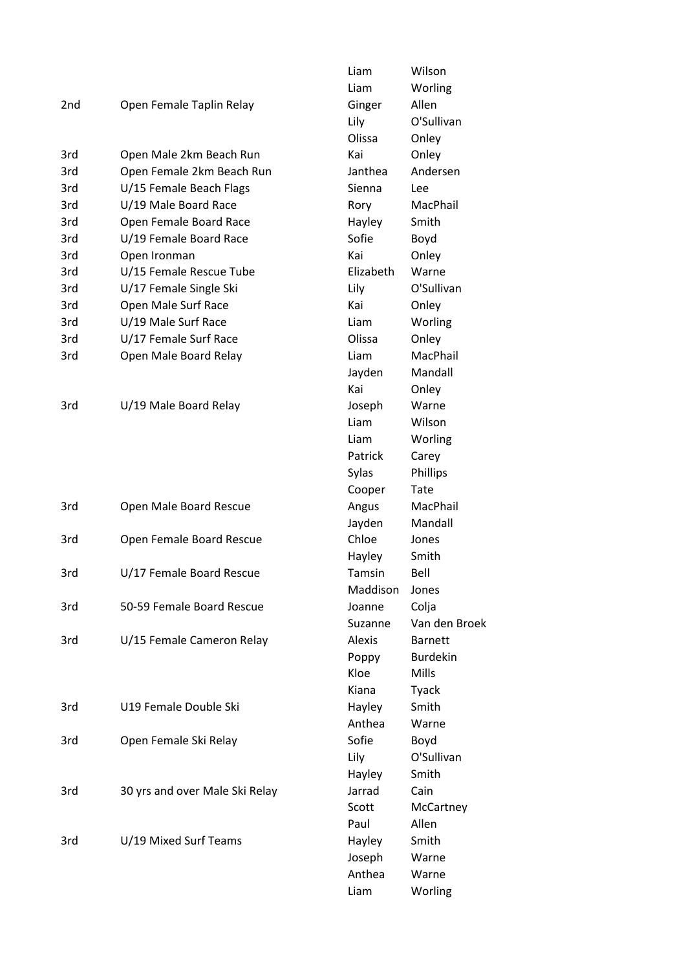|                 |                                | Liam      | Wilson                            |
|-----------------|--------------------------------|-----------|-----------------------------------|
|                 |                                | Liam      | Worling                           |
| 2 <sub>nd</sub> | Open Female Taplin Relay       | Ginger    | Allen                             |
|                 |                                | Lily      | O'Sullivan                        |
|                 |                                | Olissa    | Onley                             |
| 3rd             | Open Male 2km Beach Run        | Kai       | Onley                             |
| 3rd             | Open Female 2km Beach Run      | Janthea   | Andersen                          |
| 3rd             | U/15 Female Beach Flags        | Sienna    | Lee                               |
| 3rd             | U/19 Male Board Race           | Rory      | MacPhail                          |
| 3rd             | Open Female Board Race         | Hayley    | Smith                             |
| 3rd             | U/19 Female Board Race         | Sofie     | Boyd                              |
| 3rd             | Open Ironman                   | Kai       | Onley                             |
| 3rd             | U/15 Female Rescue Tube        | Elizabeth | Warne                             |
| 3rd             | U/17 Female Single Ski         | Lily      | O'Sullivan                        |
| 3rd             | Open Male Surf Race            | Kai       | Onley                             |
| 3rd             | U/19 Male Surf Race            | Liam      | Worling                           |
| 3rd             | U/17 Female Surf Race          | Olissa    | Onley                             |
| 3rd             | Open Male Board Relay          | Liam      | MacPhail                          |
|                 |                                | Jayden    | Mandall                           |
|                 |                                | Kai       | Onley                             |
| 3rd             | U/19 Male Board Relay          | Joseph    | Warne                             |
|                 |                                | Liam      | Wilson                            |
|                 |                                | Liam      | Worling                           |
|                 |                                | Patrick   | Carey                             |
|                 |                                | Sylas     | <b>Phillips</b>                   |
|                 |                                | Cooper    | Tate                              |
| 3rd             | Open Male Board Rescue         | Angus     | MacPhail                          |
|                 |                                | Jayden    | Mandall                           |
| 3rd             | Open Female Board Rescue       | Chloe     | Jones                             |
|                 |                                | Hayley    | Smith                             |
| 3rd             | U/17 Female Board Rescue       | Tamsin    | Bell                              |
|                 |                                | Maddison  | Jones                             |
| 3rd             | 50-59 Female Board Rescue      | Joanne    |                                   |
|                 |                                |           | Colja<br>Van den Broek            |
|                 |                                | Suzanne   |                                   |
| 3rd             | U/15 Female Cameron Relay      | Alexis    | <b>Barnett</b><br><b>Burdekin</b> |
|                 |                                | Poppy     |                                   |
|                 |                                | Kloe      | <b>Mills</b>                      |
|                 |                                | Kiana     | Tyack                             |
| 3rd             | U19 Female Double Ski          | Hayley    | Smith                             |
|                 |                                | Anthea    | Warne                             |
| 3rd             | Open Female Ski Relay          | Sofie     | Boyd                              |
|                 |                                | Lily      | O'Sullivan                        |
|                 |                                | Hayley    | Smith                             |
| 3rd             | 30 yrs and over Male Ski Relay | Jarrad    | Cain                              |
|                 |                                | Scott     | McCartney                         |
|                 |                                | Paul      | Allen                             |
| 3rd             | U/19 Mixed Surf Teams          | Hayley    | Smith                             |
|                 |                                | Joseph    | Warne                             |
|                 |                                | Anthea    | Warne                             |
|                 |                                | Liam      | Worling                           |